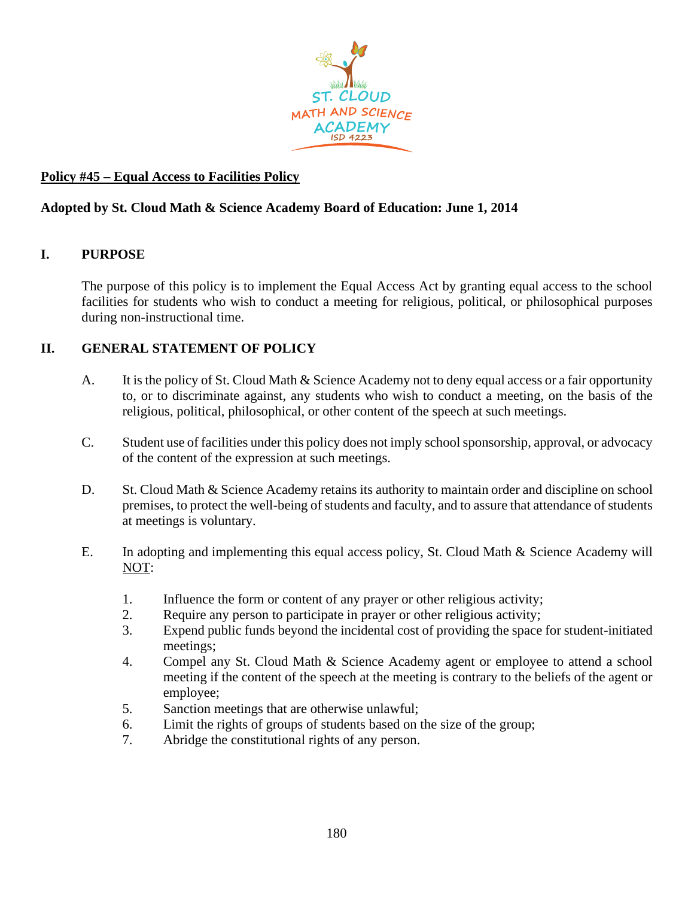

# **Policy #45 – Equal Access to Facilities Policy**

# **Adopted by St. Cloud Math & Science Academy Board of Education: June 1, 2014**

## **I. PURPOSE**

The purpose of this policy is to implement the Equal Access Act by granting equal access to the school facilities for students who wish to conduct a meeting for religious, political, or philosophical purposes during non-instructional time.

## **II. GENERAL STATEMENT OF POLICY**

- A. It is the policy of St. Cloud Math & Science Academy not to deny equal access or a fair opportunity to, or to discriminate against, any students who wish to conduct a meeting, on the basis of the religious, political, philosophical, or other content of the speech at such meetings.
- C. Student use of facilities under this policy does not imply school sponsorship, approval, or advocacy of the content of the expression at such meetings.
- D. St. Cloud Math & Science Academy retains its authority to maintain order and discipline on school premises, to protect the well-being of students and faculty, and to assure that attendance of students at meetings is voluntary.
- E. In adopting and implementing this equal access policy, St. Cloud Math & Science Academy will NOT:
	- 1. Influence the form or content of any prayer or other religious activity;
	- 2. Require any person to participate in prayer or other religious activity;
	- 3. Expend public funds beyond the incidental cost of providing the space for student-initiated meetings;
	- 4. Compel any St. Cloud Math & Science Academy agent or employee to attend a school meeting if the content of the speech at the meeting is contrary to the beliefs of the agent or employee;
	- 5. Sanction meetings that are otherwise unlawful;
	- 6. Limit the rights of groups of students based on the size of the group;
	- 7. Abridge the constitutional rights of any person.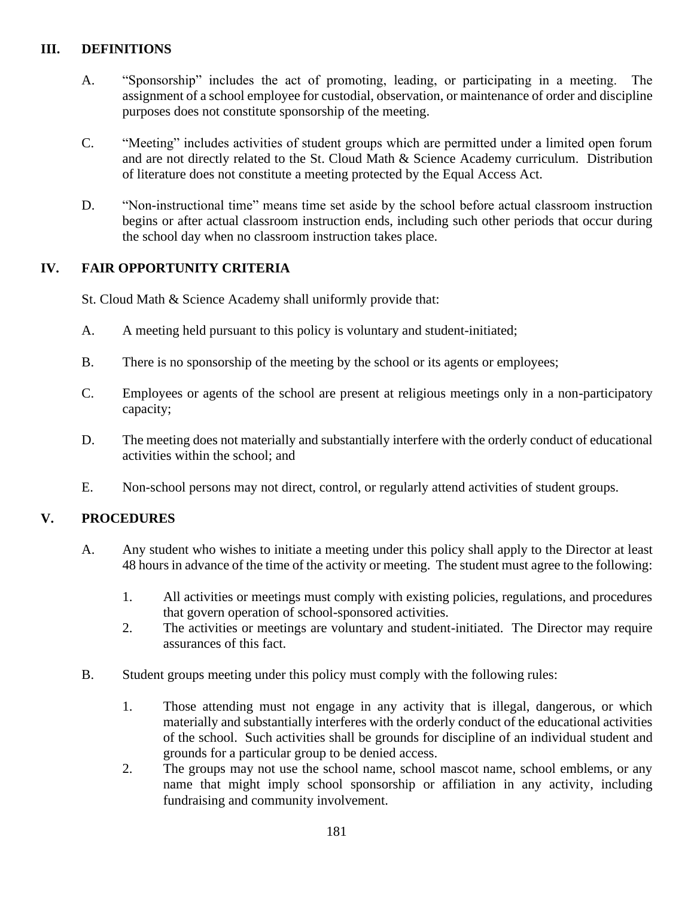## **III. DEFINITIONS**

- A. "Sponsorship" includes the act of promoting, leading, or participating in a meeting. The assignment of a school employee for custodial, observation, or maintenance of order and discipline purposes does not constitute sponsorship of the meeting.
- C. "Meeting" includes activities of student groups which are permitted under a limited open forum and are not directly related to the St. Cloud Math & Science Academy curriculum. Distribution of literature does not constitute a meeting protected by the Equal Access Act.
- D. "Non-instructional time" means time set aside by the school before actual classroom instruction begins or after actual classroom instruction ends, including such other periods that occur during the school day when no classroom instruction takes place.

## **IV. FAIR OPPORTUNITY CRITERIA**

St. Cloud Math & Science Academy shall uniformly provide that:

- A. A meeting held pursuant to this policy is voluntary and student-initiated;
- B. There is no sponsorship of the meeting by the school or its agents or employees;
- C. Employees or agents of the school are present at religious meetings only in a non-participatory capacity;
- D. The meeting does not materially and substantially interfere with the orderly conduct of educational activities within the school; and
- E. Non-school persons may not direct, control, or regularly attend activities of student groups.

## **V. PROCEDURES**

- A. Any student who wishes to initiate a meeting under this policy shall apply to the Director at least 48 hours in advance of the time of the activity or meeting. The student must agree to the following:
	- 1. All activities or meetings must comply with existing policies, regulations, and procedures that govern operation of school-sponsored activities.
	- 2. The activities or meetings are voluntary and student-initiated. The Director may require assurances of this fact.
- B. Student groups meeting under this policy must comply with the following rules:
	- 1. Those attending must not engage in any activity that is illegal, dangerous, or which materially and substantially interferes with the orderly conduct of the educational activities of the school. Such activities shall be grounds for discipline of an individual student and grounds for a particular group to be denied access.
	- 2. The groups may not use the school name, school mascot name, school emblems, or any name that might imply school sponsorship or affiliation in any activity, including fundraising and community involvement.